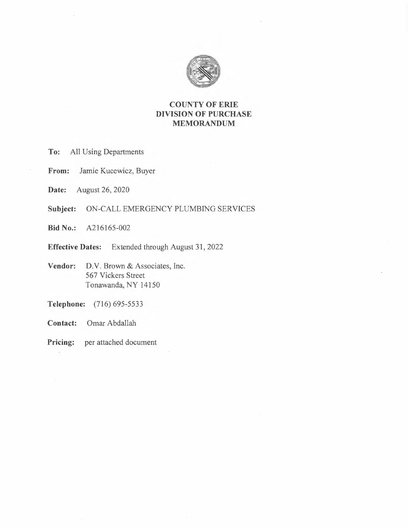

# **COUNTY OF ERIE DIVISION OF PURCHASE MEMORANDUM**

- **To:** All Using Departments
- **From:** Jamie Kucewicz, Buyer
- **Date:** August 26, 2020
- **Subject:** ON-CALL EMERGENCY PLUMBING SERVICES
- **Bid No.:** A216165-002
- **Effective Dates:** Extended through August 31, 2022
- Vendor: D.V. Brown & Associates, Inc. 567 Vickers Street Tonawanda, NY 14150
- **Telephone:** (716) 695-5533
- **Contact:** Omar Abdallah
- **Pricing:** per attached document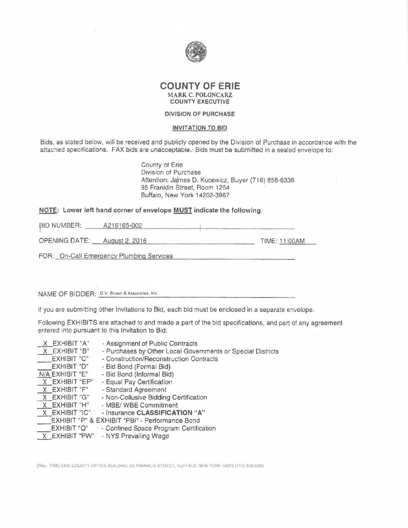

#### **COUNTY OF ERIE MARK** C. **POLONCARZ COUNTY EXECUTIVE**

#### **DIVISION OF PURCHASE**

#### **INVITATION TO BID**

Bids, as stated below, will be received and publicly opened by the Division of Purchase in accordance with the attached specifications. FAX bids are unacceptable. Bids must be submitted in a sealed envelope to:

> County of Erie Division of Purchase Attention: James D. Kucewicz, Buyer (716) 858-6336 95 Franklin Street, Room 1254 Buttalo, New York 14202-3967

# **NOTE: Lower left hand corner of envelope <u>MUST</u> indicate the following:**<br>|<br>| AD NUMBER: <u>| A216165-002</u>

PID NUMBER: <u>4216165-002<br>
OPENING DATE: August 2, 2016</u> TIME: 11:00AM

FOR: On-Call Emergency Plumbing Services

**NAME** OF BIDDER: DV. Brown & Associates, Inc.

If you are submitting other Invitations to Bid, each bid must be enclosed in a separate envelope.

Following EXHIBITS are attached to and made a part of the bid specifications, and part of any agreement entered into pursuant to this Invitation to Bid;

| X EXHIBIT "A"<br>X EXHIBIT "B"<br><b>EXHIBIT "C"</b><br><b>EXHIBIT "D"</b><br>N/A EXHIBIT "E"<br>X EXHIBIT "EP"<br>X EXHIBIT "F"<br>X EXHIBIT "G"<br>X EXHIBIT "H"<br>X EXHIBIT "IC" | - Assignment of Public Contracts<br>- Purchases by Other Local Governments or Special Districts<br>- Construction/Reconstruction Contracts<br>- Bid Bond (Formal Bid)<br>- Bid Bond (Informal Bid)<br>- Equal Pay Certification<br>- Standard Agreement<br>- Non-Collusive Bidding Certification<br>- MBE/ WBE Commitment<br>- Insurance CLASSIFICATION "A"<br><b>EXHIBIT "P" &amp; EXHIBIT "PBI" - Performance Bond</b> |
|--------------------------------------------------------------------------------------------------------------------------------------------------------------------------------------|--------------------------------------------------------------------------------------------------------------------------------------------------------------------------------------------------------------------------------------------------------------------------------------------------------------------------------------------------------------------------------------------------------------------------|
|                                                                                                                                                                                      |                                                                                                                                                                                                                                                                                                                                                                                                                          |
|                                                                                                                                                                                      |                                                                                                                                                                                                                                                                                                                                                                                                                          |
| <b>EXHIBIT "Q"</b><br>X EXHIBIT "PW"                                                                                                                                                 | - Confined Space Program Certification<br>- NYS Prevailing Wage                                                                                                                                                                                                                                                                                                                                                          |
|                                                                                                                                                                                      |                                                                                                                                                                                                                                                                                                                                                                                                                          |

(Rev. 7/95) ERIE GOUNTY OFFICE BUILDING, 95 FRANKLIN STREET, BUFFALO, NEW YORK 14202 (716) 858-6395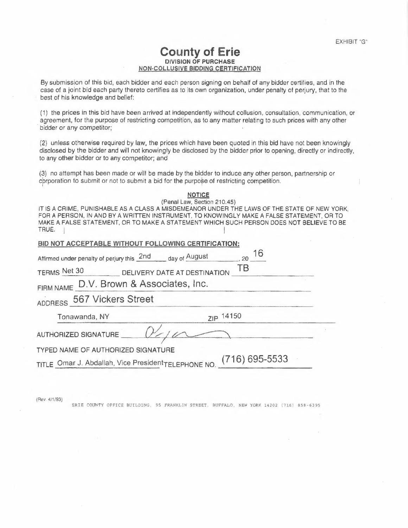## **County of Erie DIVISION OF PURCHASE NON-COLLUSIVE BIDDING CERTIFICATION**

By submission of this bid, each bidder and each person signing on behalf of any bidder certifies, and in the case of a joint bid each party thereto certifies as to its own organization, under penalty of perjury, that to the best of his knowledge and belief:

(1) the prices in this bid have been arrived at independently without collusion, consultation, communication, or agreement, for the purpose of restricting competition, as to any matter relating to such prices with any other bidder or any competitor;

(2} unless otherwise required by law, the prices which have been quoted in this bid have not been knowingly disclosed by the bidder and will not knowingly be disclosed by the bidder prior to opening, directly or indirectly, to any other bidder or to any competitor; and

(3) no attempt has been made or will be made by the bidder to induce any other person, partnership or cprporation to submit or not to submit a bid for the purpose of restricting competition.

| <b>NOTICE</b>                                                                               |
|---------------------------------------------------------------------------------------------|
| (Penal Law, Section 210.45)                                                                 |
| IT IS A CRIME, PUNISHABLE AS A CLASS A MISDEMEANOR UNDER THE LAWS OF THE STATE OF NEW YORK. |
| FOR A PERSON, IN AND BY A WRITTEN INSTRUMENT, TO KNOWINGLY MAKE A FALSE STATEMENT, OR TO    |
| MAKE A FALSE STATEMENT, OR TO MAKE A STATEMENT WHICH SUCH PERSON DOES NOT BELIEVE TO BE     |
| TRUE.                                                                                       |

|  |  | BID NOT ACCEPTABLE WITHOUT FOLLOWING CERTIFICATION: |  |
|--|--|-----------------------------------------------------|--|
|  |  |                                                     |  |

| BID NOT ACCEPTABLE WITHOUT FOLLOWING CERTIFICATION:                 |           |  |  |
|---------------------------------------------------------------------|-----------|--|--|
| Affirmed under penalty of perjury this 2nd day of August            | 16<br>.20 |  |  |
| TERMS Net 30 DELIVERY DATE AT DESTINATION TB                        |           |  |  |
| FIRM NAME D.V. Brown & Associates, Inc.                             |           |  |  |
| ADDRESS 567 Vickers Street                                          |           |  |  |
| Tonawanda, NY                                                       | ZIP 14150 |  |  |
| AUTHORIZED SIGNATURE                                                |           |  |  |
| TYPED NAME OF AUTHORIZED SIGNATURE                                  |           |  |  |
| TITLE Omar J. Abdallah, Vice President TELEPHONE NO. (716) 695-5533 |           |  |  |
|                                                                     |           |  |  |

(Rev. 4/1/93)

ERIE COUNTY OFFICE BUILDING, 95 FRANKLIN STREET, BUFFALO, NEW YORK 14202 (716) 858-6395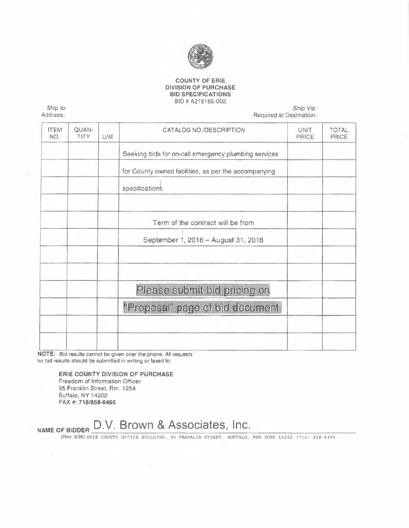

#### **COUNTY OF ERIE DIVISION OF PURCHASE BID SPECIFICATIONS**  BID# A216165-002

*Ship to:*  Address:

#### *Ship Via:*  Required at Destination:

| <b>ITEM</b><br>NO. | <b>QUAN-</b><br><b>TITY</b> | U/M | CATALOG NO./DESCRIPTION                              | <b>UNIT</b><br>PRICE | <b>TOTAL</b><br>PRICE |
|--------------------|-----------------------------|-----|------------------------------------------------------|----------------------|-----------------------|
|                    |                             |     | Seeking bids for on-call emergency plumbing services |                      |                       |
|                    |                             |     | for County owned facilities, as per the accompanying |                      |                       |
|                    |                             |     | specifications.                                      |                      |                       |
|                    |                             |     |                                                      |                      |                       |
|                    |                             |     | Term of the contract will be from                    |                      |                       |
|                    |                             |     | September 1, 2016 - August 31, 2018                  |                      |                       |
|                    |                             |     |                                                      |                      |                       |
|                    |                             |     | Please submit bid pricing on                         |                      |                       |
|                    |                             |     | "Proposal" page of bid document.                     |                      |                       |
|                    |                             |     |                                                      |                      |                       |
|                    |                             |     |                                                      |                      |                       |

**NOTE:** Bid resulls cannot be given over the phone. All requests for bid results should be submitted in writing or faxed lo:

#### **ERIE COUNTY DIVISION OF PURCHASE**

Freedom of Information Officer 95 Franklin Street, Rm. 1254 Buffalo, **NY** 14202 **FAX#: 716/858-6465** 

# NAME OF BIDDER D.V. Brown & Associates, Inc.

(Rev. 9/95) ERIE COUNTY OFFICE BUILDING, 95 FRANKLIN STREET, BUFFALO, NEW YORK 14202 (716) 858-6395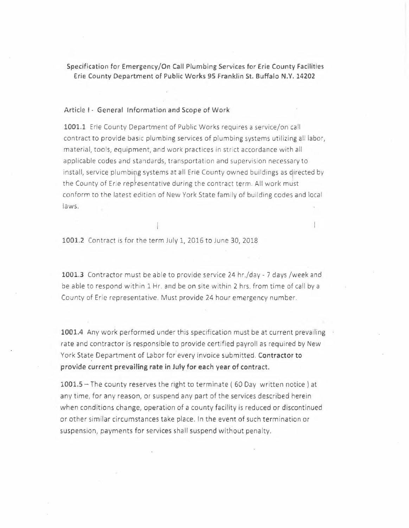Specification for Emergency/On Call Plumbing Services for Erie County Facilities Erie County Department of Public Works 95 Franklin St. Buffalo N.Y. 14202

#### Article I - General Information and Scope of Work

**1001.1** Erie County Department of Public Works requires a service/on call contract to provide basic plumbing services of plumbing systems utilizing all labor, material, tools, equipment, and work practices in strict accordance with all applicable codes and standards, transportation and supervision necessary to install, service plumbing systems at all Erie County owned buildings as directed by the County of Erie representative during the contract term. All work must conform to the latest edition of New York State family of building codes and local laws.

**1001.2** Contract is for the term July 1, 2016 to June 30, 2018

**1001.3** Contractor must be able to provide service **24** hr./day - 7 days /week and be able to respond within 1 Hr. and be on site within 2 hrs. from time of call by a County of Erie representative. Must provide 24 hour emergency number.

**1001.4** Any work performed under this specification must be at current prevailing rate and contractor is responsible to provide certified payroll as required by New York State Department of Labor for every invoice submitted. **Contractor to provide current prevailing rate in July for each year of contract.** 

**1001.5 -** The county reserves the right to terminate ( 60 Day written notice) at any time, for any reason, or suspend any part of the services described herein when conditions change, operation of a county facility is reduced or discontinued or other similar circumstances take place. In the event of such termination or suspension, payments for services shall suspend without penalty.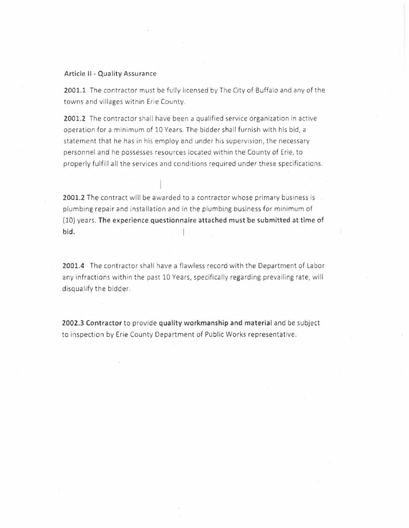#### **Article** II - **Quality Assurance**

**2001.1** The contractor must be fully licensed by The City of Buffalo and any of the towns and villages within Erie County.

**2001.2** The contractor shall have been a qualified service organization in active operation for a minimum of 10 Years. The bidder shall furnish with his bid, a statement that he has in his employ and under his supervision, the necessary personnel and he possesses resources located within the County of Erie, to properly fulfill all the services and conditions required under these specifications.

2001.2 The contract will be awarded to a contractor whose primary business is a plumbing repair and installation and in the plumbing business for minimum of (10) years. **The experience questionnaire attached must be submitted at time of bid.** 

**2001.4** The contractor shall have a flawless record with the Department of Labor any infractions within the past 10 Years, specifically regarding prevailing rate, will disqualify the bidder.

**2002.3 Contractor** to provide **quality workmanship and material** and be subject to inspection by Erie County Department of Public Works representative.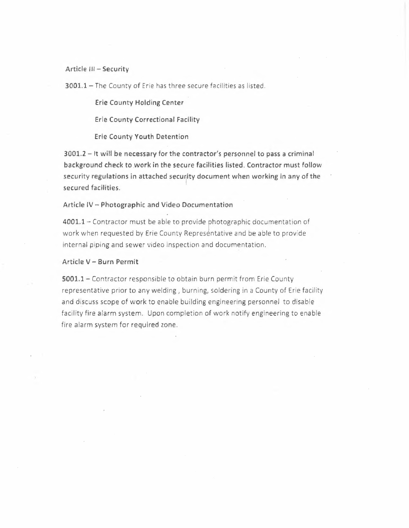## **Article** lii - **Security**

**3001.1 -** The County of Erie has three secure facilities as listed.

**Erie County Holding Center** 

**Erie County Correctional Facility** 

**Erie County Youth Detention** 

**3001.2 - It will be necessary for the contractor's personnel to pass a criminal background check to work in the secure facilities listed. Contractor must follow**  security regulations in attached security document when working in any of the **secured facilities.** 

#### **Article IV - Photographic and Video Documentation**

**4001.1-** Contractor must be able to provide photographic documentation of work when requested by Erie County Represéntative and be able to provide internal piping and sewer video inspection and documentation.

#### **Article V - Burn Permit**

**5001.1-** Contractor responsible to obtain burn permit from Erie County representative prior to any welding, burning, soldering in a County of Erie facility and discuss scope of work to enable building engineering personnel to disable facility fire alarm system. Upon completion of work notify engineering to enable fire alarm system for required zone.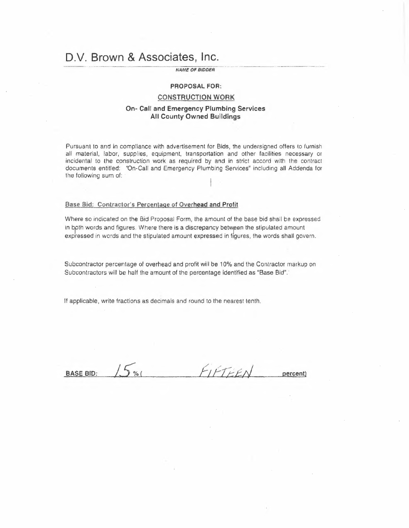# **O.V. Brown & Associates, Inc.**

#### *NAME OF BIDDER*

# **PROPOSAL FOR:**

#### **CONSTRUCTION WORK**

#### **On- Call and Emergency Plumbing Services All County Owned Buildings**

Pursuant to and in compliance with advertisement for Bids, the undersigned offers to furnish all material, labor, supplies, equipment, transportation and other facilities necessary or incidental to the construction work as required by and in strict accord with the contract documents entitled: 'On-Cail and Emergency Plumbing Services" including all Addenda for the following sum of:

#### **Base Bid: Contractor's Percentage of Overhead and Profit**

Where so indicated on the Bid Proposal Form, the amount of the base bid shall be expressed in both words and figures. Where there is a discrepancy between the stipulated amount expressed in words and the stipulated amount expressed in figures, the words shall govern.

Subcontractor percentage of overhead and profit will be 10% and the Contractor markup on Subcontractors will be half the amount of the percentage identified as "Base Bid".

If applicable, write fractions as decimals and round to the nearest tenth.

BASE BID:  $15\%$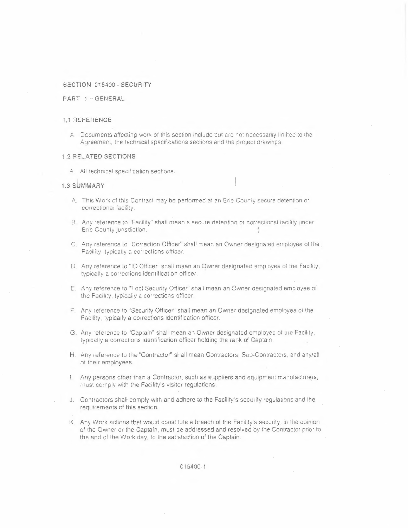#### **SECTION 015400 · SECURITY**

#### **PART 1 - GENERAL**

#### **1,1 REFERENCE**

**A.** Documents affecting work of this section include but are not necessarily limited to the Agreement, the technical specifications sections and the project drawings.

#### **1.2 RELATED SECTIONS**

A. All technical specification sections.

#### **1.3 SUMMARY**

- A. This Work oi this Contract may be performed at an Erie County secure detention or correctional facility.
- B Any reference to "Facility" shall mean a secure detention or correctional facility under Ene Chunty jurisdiction.
- C. Any reference lo "Correction Officer" shall mean an Owner designated employee of the. Facility, typically a corrections officer.
- D. Any reference to "ID Officer" shall mean an Owner designated employee of the Facility, typically a corrections identification officer.
- E. Any reference to "Tool Security Officer" shall mean an Owner designated employee of the Facility, typically a corrections officer.
- F. Any relerence to "Security Officer" shall mean an Owner designated employee of the Facility, typically a corrections identification officer.
- G. Any reference to "Captain" shall mean an Owner designated employee of tile Facility, typically a corrections identification officer holding the rank of Captain
- H. Any reference to the "Contractor" shall mean Contractors, Sub-Contractors, and any/all of their employees.
- **Any persons other than a Contractor, such as suppliers and equipment manufacturers,** must comply with the Facility's visitor regulations.
- j Contractors shall comply with and adhere to the Facility's security regulations and the requirements of this section.
- K. Any Work actions that would constitute a breach of the Facility's security, in the opinion of the Owner or the Captain, must be addressed and resolved by the Contractor prior to the end of the Wo.rk day, to the satisfaction of the Captain.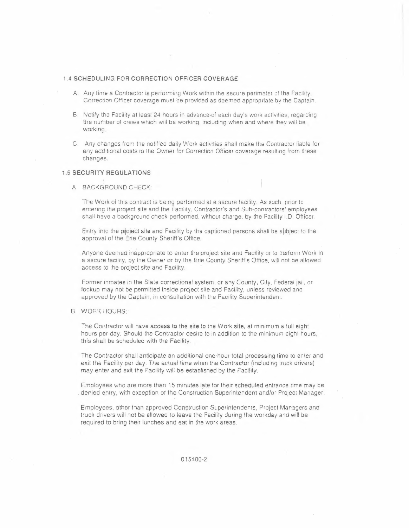#### **1 .4 SCHEDULING FOR CORRECTION OFFICER COVERAGE**

- A. Any time a Contractor is periorming Work within the secure perimeter of the Facility, Correction Officer coverage must be provided as deemed appropriate by the Captain.
- B. Notify the Facility at least 24 hours in advance of each day's work activities, regarding the number of crews which will be working, including when and where they will be working.
- C. Any changes from the notified daily Work activities shall make the Contractor liable *for*  any additional costs to the Owner for Correction Officer coverage resulting from these changes.

#### **1.5 SECURITY REGULATIONS**

A. BACKGROUND CHECK:

The Work oí this contract is being performed at a secure facility. As such, prior to entering the project site and the Facility. Contractor's and Sub-contractors' employees shall have a background check performed, without charge, by the Facility I.O. Ottícer.

Entry into the project site and Facility by the captioned persons shall be subject to the approval of the Erie County Sheriff's Office.

Anyone deemed inappropriate to enter the project site and Facility or to perform Work in a secure facility, by the Owner or by the Erie County Sheriff's Oftice, will not be allowed access to the project site and Facility.

Former inmates in the Stale correctional system, or any County, City, Federal jail, or lockup may not be permitted inside project site and Facility, unless reviewed and approved by the Captain, in consultation with the Facility Superintendent.

**B. WORK HOURS:** 

The Contractor will have access to the site to the Work site, at minimum a full eight hours per day. Should the Contractor desire to in addition to the minimum eight hours, this shall be scheduled with the Facility.

The Contractor shall anticipate an additional one-hour total processing time to enter and exit the Facility per day. The actual time when the Contractor (including truck drivers) may enter and exit the Facility will be established by **the** Facility.

Employees who are more than 15 minutes late for their scheduled entrance time may be . deried entry, with exception of the Construction Superintendent and/or Project Manager.

Employees, other than approved Construction Superintendents, Project Managers and truck drivers will not be allowed to leave the Facility during the workday and will be required to bring their lunches and eat in the work areas.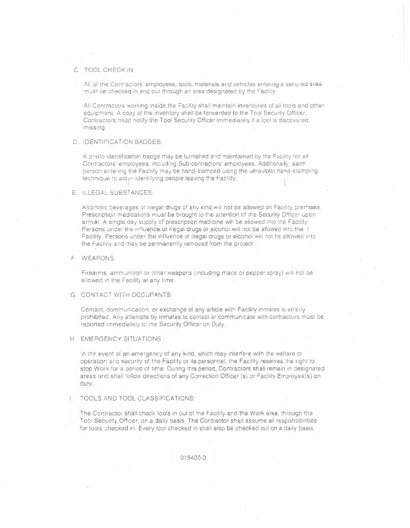#### C TOOL CHECK IN:

Al. of the Contractors' employees, tools, materials and vehicles entering a secured area must be checked in and out through an area designated by the Facility.

All Contractors working inside the Facility shall maintain inventories of all tools and other equipment. A copy of the inventory shall be forwarded to the Tool Security Officer. Coniractors rnust notify the Tool Security Officer immediately if a tool is discovered missing.

#### D. IDENTIFICATION BADGES:

A pnoto identification badge may be furnished and maintained oy the Facility tor all Contractors' employees, including Sub-contractors' employees. Additionally, each person entering the Facility may be hand-stamped using the ultraviolet hand-stampinq technique to aid in identifying people leaving the Facility.

#### E. ILLEGAL SUBSTANCES:

Alcoholic beverages or iilegal drugs of any kind will not be allowed on Facility premises. Prescription medications must be brought to the attention of the Security Officer upon arrival. A single day supply of prescription medicine will be allowed into the Facility. Persons under the influence of illegal drugs or alcohol will not be allowed into the Facility. Persons under the influence of illegal drugs or alcohol will not be allowed into the Facility and may be permanently removed from !he project.

#### F WEAPONS:

Firearms, ammunition or other weapons (including mace or pepper spray) will not be allowed in the Facility at any time.

#### G. CONTACT WITH OCCUPANTS:

Contact, communicalion, or exchange of any article with Facility inmates is strictly prohibited A.ny attempts by inmates to contact or communicate with contractors must be reported immediately to the Security Officer on Duty.

#### H. EMERGENCY SITUATIONS:

in the event of an emergency of any kind, which may interfere with the weltare or operation anc security of the Facility or its personnel, the Facility reserves the right to stop Work tor a period of time. Durinq this period, Contractors shall remain in designated areas and shall follow directions of any Correction Officer (s) or Facility Employee(s) on duty.

#### TOOLS AND TOOL CLASSIFICATIONS:

The Contractor shall check tools in out of the Facility and the Work area, through the Tool Security Officer, on a daily basis. The Contractor shall assume all responsibilities for tools checked in. Every tool checked in shall also be checked out on a daily basis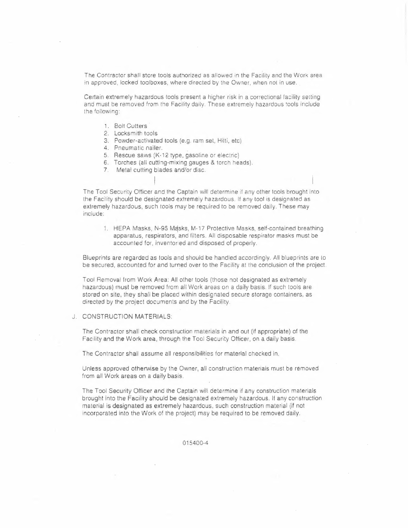The Contractor shall store tools authorized as allowed in the Facility and the Work area in approved, locked toolboxes, where directed by the Owner, when not in use.

Certain extremely hazardous tools present a higher risk in a correctional facility setting and must be removed from the Facility daily. These extremely hazardous tools include the following:

- 1. Bolt Cutters
- 2. Locksmith tools
- 3. Powder-activated tools (e.g. ram sel, Hilti, etc)
- 4. Pneumatic nailer.
- 5. Rescue saws (K-12 type, gasoline or electric}
- 6. Torches (all cutting-mixing gauges & torch heads).
- 7. Metal cutting blades and/or disc.

The Tool Security Officer and the Captain will determine íf any other tools brought into the Facility should be designated extremely hazardous. If any tool is designated as extremely hazardous, such tools may be required to be removed daily. These may include:

1. HEPA Masks, N-95 Masks, M-17 Protective Masks, self-contained breathing apparatus, respirators, and filters. All disposable respirator masks must be accounted for, inventoned and disposed of properly.

Blueprints are regarded as tools and should be handled accordingly. All blueprints are to be secured, accounted for and turned over to the Facility at the conclusion of the project.

Tool Removal from Work Area: All other tools (those not designated as extremely hazardous) musi be removed from all Work areas on a daily basis. If such tools are stored on site, they shall be placed within designated secure storage containers, as directed by the project documents and by the Facility.

J. CONSTRUCTION MATERIALS:

The Contractor shall check construction materials in and out (if appropriate) of the Facility and the Work area, through the Tool Security Officer, on a daily basis.

The Contractor shall assume all responsibilities for material checked in.

Unless approved otherwise by the Owner, all construction materials must be removed from all Work areas on a daily basis.

The Tooi Security Officer and the Captain will determine if any construction materials brought into the Facility should be designated extremely hazardous. If any construction material is designated as extremely hazardous, such construction material (if not incorporated into the Work of the project) may be required to be removed daily.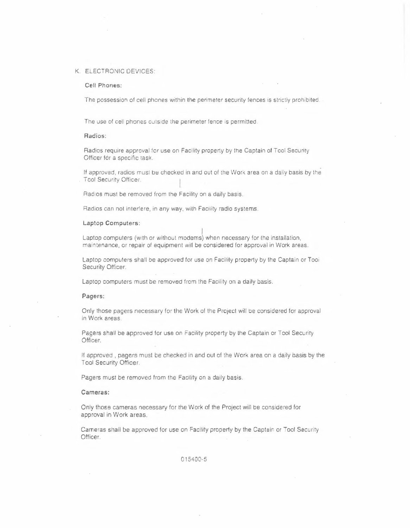#### K. ELECTRONIC DEVICES:

#### **Cell Phones:**

The possession of cell phones within the perimeter security fences is strictly prohibited.

The use of cell phones outside the perimeter fence is permitted.

#### **Radios:**

Radios require approval for use on Facility property by the Captain **of** Tool Security Officer for a specific task.

If approved, radios must be checked in and out of the Work area on a daily basis by the Tool Security Officer.

Radios must be removed from the Facilily on a daily basis.

Radios can not interíere, in any way, with Facility radio systems.

#### **Laptop Computers:**

I Laptop computers (with or without moderns) when necessary for the installation, maintenance, or repair *of* equipment will be considered for approval in Work areas.

Laptop computers shall be approved for use on Facility property by the Captain or Tool Security Officer.

Laptop computers must be removed from the Facility on a daily basis.

#### **Pagers:**

Only those pagers necessary for the Work of the Project will be considered for approval in Work areas.

Pagers shall be approved for use on Facility property by the Captain or Tool Security Officer.

If approved , pagers must be checked in and out of the Work area on a daily basis by the Tool Security Officer.

Pagers must be removed from the Facility on a daily basis.

#### **Cameras:**

Only those cameras necessary for the Work of the Project will be considered for approval in Work areas.

Cameras shall be approved for use on Facility property by the Captain or Tool Security Officer.